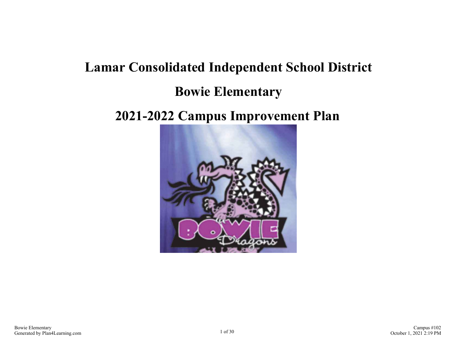# **Lamar Consolidated Independent School District Bowie Elementary**

## **2021-2022 Campus Improvement Plan**

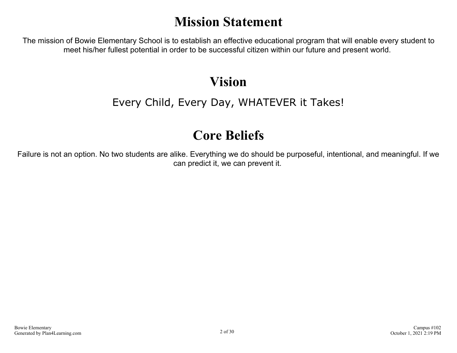## **Mission Statement**

The mission of Bowie Elementary School is to establish an effective educational program that will enable every student to meet his/her fullest potential in order to be successful citizen within our future and present world.

## **Vision**

## Every Child, Every Day, WHATEVER it Takes!

## **Core Beliefs**

Failure is not an option. No two students are alike. Everything we do should be purposeful, intentional, and meaningful. If we can predict it, we can prevent it.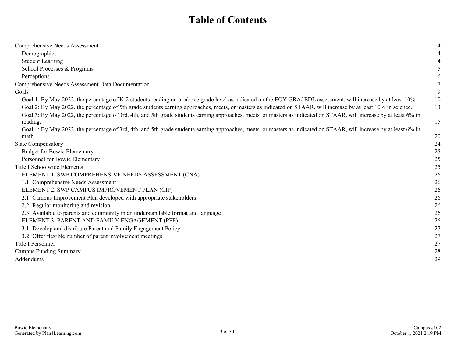## **Table of Contents**

| Comprehensive Needs Assessment                                                                                                                                       |    |
|----------------------------------------------------------------------------------------------------------------------------------------------------------------------|----|
| Demographics                                                                                                                                                         |    |
| <b>Student Learning</b>                                                                                                                                              |    |
| School Processes & Programs                                                                                                                                          |    |
| Perceptions                                                                                                                                                          | 6  |
| Comprehensive Needs Assessment Data Documentation                                                                                                                    |    |
| Goals                                                                                                                                                                | 9  |
| Goal 1: By May 2022, the percentage of K-2 students reading on or above grade level as indicated on the EOY GRA/EDL assessment, will increase by at least 10%.       | 10 |
| Goal 2: By May 2022, the percentage of 5th grade students earning approaches, meets, or masters as indicated on STAAR, will increase by at least 10% in science.     | 13 |
| Goal 3: By May 2022, the percentage of 3rd, 4th, and 5th grade students earning approaches, meets, or masters as indicated on STAAR, will increase by at least 6% in |    |
| reading.                                                                                                                                                             | 15 |
| Goal 4: By May 2022, the percentage of 3rd, 4th, and 5th grade students earning approaches, meets, or masters as indicated on STAAR, will increase by at least 6% in |    |
| math.                                                                                                                                                                | 20 |
| <b>State Compensatory</b>                                                                                                                                            | 24 |
| <b>Budget for Bowie Elementary</b>                                                                                                                                   | 25 |
| Personnel for Bowie Elementary                                                                                                                                       | 25 |
| Title I Schoolwide Elements                                                                                                                                          | 25 |
| ELEMENT 1. SWP COMPREHENSIVE NEEDS ASSESSMENT (CNA)                                                                                                                  | 26 |
| 1.1: Comprehensive Needs Assessment                                                                                                                                  | 26 |
| ELEMENT 2. SWP CAMPUS IMPROVEMENT PLAN (CIP)                                                                                                                         | 26 |
| 2.1: Campus Improvement Plan developed with appropriate stakeholders                                                                                                 | 26 |
| 2.2: Regular monitoring and revision                                                                                                                                 | 26 |
| 2.3: Available to parents and community in an understandable format and language                                                                                     | 26 |
| ELEMENT 3. PARENT AND FAMILY ENGAGEMENT (PFE)                                                                                                                        | 26 |
| 3.1: Develop and distribute Parent and Family Engagement Policy                                                                                                      | 27 |
| 3.2: Offer flexible number of parent involvement meetings                                                                                                            | 27 |
| Title I Personnel                                                                                                                                                    | 27 |
| <b>Campus Funding Summary</b>                                                                                                                                        | 28 |
| Addendums                                                                                                                                                            | 29 |
|                                                                                                                                                                      |    |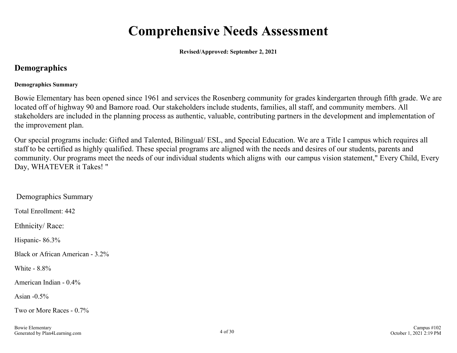## **Comprehensive Needs Assessment**

**Revised/Approved: September 2, 2021**

### <span id="page-3-0"></span>**Demographics**

#### **Demographics Summary**

Bowie Elementary has been opened since 1961 and services the Rosenberg community for grades kindergarten through fifth grade. We are located off of highway 90 and Bamore road. Our stakeholders include students, families, all staff, and community members. All stakeholders are included in the planning process as authentic, valuable, contributing partners in the development and implementation of the improvement plan.

Our special programs include: Gifted and Talented, Bilingual/ ESL, and Special Education. We are a Title I campus which requires all staff to be certified as highly qualified. These special programs are aligned with the needs and desires of our students, parents and community. Our programs meet the needs of our individual students which aligns with our campus vision statement," Every Child, Every Day, WHATEVER it Takes! "

 Demographics Summary Total Enrollment: 442 Ethnicity/ Race: Hispanic- 86.3% Black or African American - 3.2% White - 8.8% American Indian - 0.4% Asian - $0.5\%$ Two or More Races - 0.7%

Bowie Elementary Generated by Plan4Learning.com 4 of 30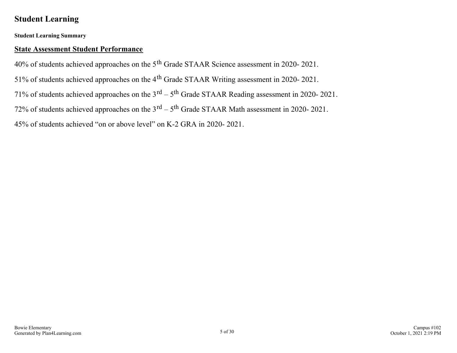### <span id="page-4-0"></span>**Student Learning**

**Student Learning Summary**

#### **State Assessment Student Performance**

40% of students achieved approaches on the 5th Grade STAAR Science assessment in 2020- 2021.

51% of students achieved approaches on the 4th Grade STAAR Writing assessment in 2020- 2021.

71% of students achieved approaches on the  $3<sup>rd</sup> - 5<sup>th</sup>$  Grade STAAR Reading assessment in 2020-2021.

72% of students achieved approaches on the  $3<sup>rd</sup> - 5<sup>th</sup>$  Grade STAAR Math assessment in 2020-2021.

45% of students achieved "on or above level" on K-2 GRA in 2020- 2021.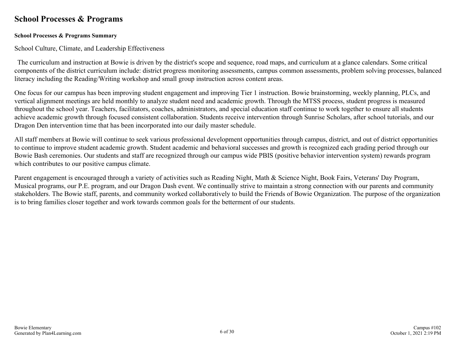### <span id="page-5-0"></span>**School Processes & Programs**

#### **School Processes & Programs Summary**

School Culture, Climate, and Leadership Effectiveness

 The curriculum and instruction at Bowie is driven by the district's scope and sequence, road maps, and curriculum at a glance calendars. Some critical components of the district curriculum include: district progress monitoring assessments, campus common assessments, problem solving processes, balanced literacy including the Reading/Writing workshop and small group instruction across content areas.

One focus for our campus has been improving student engagement and improving Tier 1 instruction. Bowie brainstorming, weekly planning, PLCs, and vertical alignment meetings are held monthly to analyze student need and academic growth. Through the MTSS process, student progress is measured throughout the school year. Teachers, facilitators, coaches, administrators, and special education staff continue to work together to ensure all students achieve academic growth through focused consistent collaboration. Students receive intervention through Sunrise Scholars, after school tutorials, and our Dragon Den intervention time that has been incorporated into our daily master schedule.

All staff members at Bowie will continue to seek various professional development opportunities through campus, district, and out of district opportunities to continue to improve student academic growth. Student academic and behavioral successes and growth is recognized each grading period through our Bowie Bash ceremonies. Our students and staff are recognized through our campus wide PBIS (positive behavior intervention system) rewards program which contributes to our positive campus climate.

Parent engagement is encouraged through a variety of activities such as Reading Night, Math & Science Night, Book Fairs, Veterans' Day Program, Musical programs, our P.E. program, and our Dragon Dash event. We continually strive to maintain a strong connection with our parents and community stakeholders. The Bowie staff, parents, and community worked collaboratively to build the Friends of Bowie Organization. The purpose of the organization is to bring families closer together and work towards common goals for the betterment of our students.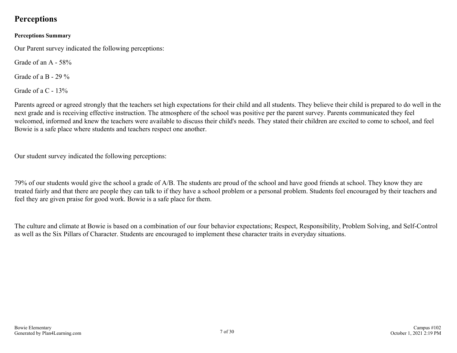### <span id="page-6-0"></span>**Perceptions**

#### **Perceptions Summary**

Our Parent survey indicated the following perceptions:

Grade of an A - 58%

Grade of a B - 29  $\%$ 

Grade of a C - 13%

Parents agreed or agreed strongly that the teachers set high expectations for their child and all students. They believe their child is prepared to do well in the next grade and is receiving effective instruction. The atmosphere of the school was positive per the parent survey. Parents communicated they feel welcomed, informed and knew the teachers were available to discuss their child's needs. They stated their children are excited to come to school, and feel Bowie is a safe place where students and teachers respect one another.

Our student survey indicated the following perceptions:

79% of our students would give the school a grade of A/B. The students are proud of the school and have good friends at school. They know they are treated fairly and that there are people they can talk to if they have a school problem or a personal problem. Students feel encouraged by their teachers and feel they are given praise for good work. Bowie is a safe place for them.

The culture and climate at Bowie is based on a combination of our four behavior expectations; Respect, Responsibility, Problem Solving, and Self-Control as well as the Six Pillars of Character. Students are encouraged to implement these character traits in everyday situations.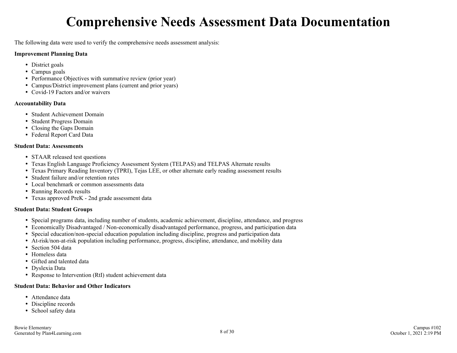## **Comprehensive Needs Assessment Data Documentation**

<span id="page-7-0"></span>The following data were used to verify the comprehensive needs assessment analysis:

#### **Improvement Planning Data**

- District goals
- Campus goals
- Performance Objectives with summative review (prior year)
- Campus/District improvement plans (current and prior years)
- Covid-19 Factors and/or waivers

#### **Accountability Data**

- Student Achievement Domain
- Student Progress Domain
- Closing the Gaps Domain
- Federal Report Card Data

#### **Student Data: Assessments**

- STAAR released test questions
- Texas English Language Proficiency Assessment System (TELPAS) and TELPAS Alternate results
- Texas Primary Reading Inventory (TPRI), Tejas LEE, or other alternate early reading assessment results
- Student failure and/or retention rates
- Local benchmark or common assessments data
- Running Records results
- Texas approved PreK 2nd grade assessment data

#### **Student Data: Student Groups**

- Special programs data, including number of students, academic achievement, discipline, attendance, and progress
- Economically Disadvantaged / Non-economically disadvantaged performance, progress, and participation data
- Special education/non-special education population including discipline, progress and participation data
- At-risk/non-at-risk population including performance, progress, discipline, attendance, and mobility data
- Section 504 data
- Homeless data
- Gifted and talented data
- Dyslexia Data
- Response to Intervention (RtI) student achievement data

#### **Student Data: Behavior and Other Indicators**

- Attendance data
- Discipline records
- School safety data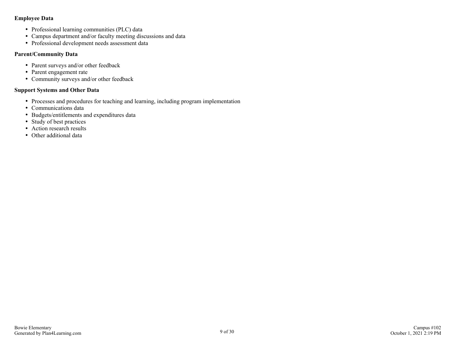#### **Employee Data**

- Professional learning communities (PLC) data
- Campus department and/or faculty meeting discussions and data
- Professional development needs assessment data

#### **Parent/Community Data**

- Parent surveys and/or other feedback
- Parent engagement rate
- Community surveys and/or other feedback

#### **Support Systems and Other Data**

- Processes and procedures for teaching and learning, including program implementation
- Communications data
- Budgets/entitlements and expenditures data
- Study of best practices
- Action research results
- Other additional data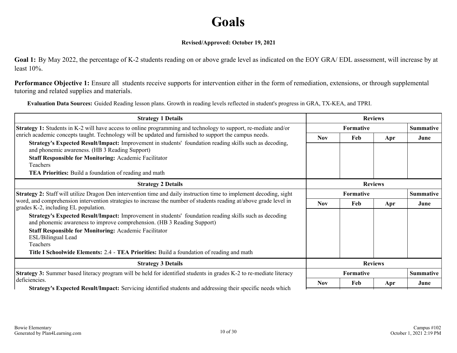## **Goals**

#### **Revised/Approved: October 19, 2021**

<span id="page-9-0"></span>**Goal 1:** By May 2022, the percentage of K-2 students reading on or above grade level as indicated on the EOY GRA/ EDL assessment, will increase by at least 10%.

**Performance Objective 1:** Ensure all students receive supports for intervention either in the form of remediation, extensions, or through supplemental tutoring and related supplies and materials.

**Evaluation Data Sources:** Guided Reading lesson plans. Growth in reading levels reflected in student's progress in GRA, TX-KEA, and TPRI.

| <b>Strategy 1 Details</b>                                                                                                                                                                                                                                                                                                            | <b>Reviews</b> |                               |     |                  |
|--------------------------------------------------------------------------------------------------------------------------------------------------------------------------------------------------------------------------------------------------------------------------------------------------------------------------------------|----------------|-------------------------------|-----|------------------|
| <b>Strategy 1:</b> Students in K-2 will have access to online programming and technology to support, re-mediate and/or                                                                                                                                                                                                               |                | Formative                     |     |                  |
| enrich academic concepts taught. Technology will be updated and furnished to support the campus needs.<br>Strategy's Expected Result/Impact: Improvement in students' foundation reading skills such as decoding,<br>and phonemic awareness. (HB 3 Reading Support)<br><b>Staff Responsible for Monitoring: Academic Facilitator</b> | <b>Nov</b>     | Feb                           | Apr | June             |
| Teachers                                                                                                                                                                                                                                                                                                                             |                |                               |     |                  |
| <b>TEA Priorities:</b> Build a foundation of reading and math                                                                                                                                                                                                                                                                        |                |                               |     |                  |
| <b>Strategy 2 Details</b>                                                                                                                                                                                                                                                                                                            | <b>Reviews</b> |                               |     |                  |
| <b>Strategy 2:</b> Staff will utilize Dragon Den intervention time and daily instruction time to implement decoding, sight<br>word, and comprehension intervention strategies to increase the number of students reading at/above grade level in<br>grades K-2, including EL population.                                             |                | Formative<br><b>Summative</b> |     |                  |
|                                                                                                                                                                                                                                                                                                                                      |                | Feb                           | Apr | June             |
| <b>Strategy's Expected Result/Impact:</b> Improvement in students' foundation reading skills such as decoding<br>and phonemic awareness to improve comprehension. (HB 3 Reading Support)                                                                                                                                             |                |                               |     |                  |
| <b>Staff Responsible for Monitoring: Academic Facilitator</b><br>ESL/Bilingual Lead<br>Teachers                                                                                                                                                                                                                                      |                |                               |     |                  |
| Title I Schoolwide Elements: 2.4 - TEA Priorities: Build a foundation of reading and math                                                                                                                                                                                                                                            |                |                               |     |                  |
| <b>Strategy 3 Details</b>                                                                                                                                                                                                                                                                                                            |                | <b>Reviews</b>                |     |                  |
| <b>Strategy 3:</b> Summer based literacy program will be held for identified students in grades K-2 to re-mediate literacy<br>deficiencies.                                                                                                                                                                                          |                | <b>Formative</b>              |     | <b>Summative</b> |
| Strategy's Expected Result/Impact: Servicing identified students and addressing their specific needs which                                                                                                                                                                                                                           | <b>Nov</b>     | Feb                           | Apr | June             |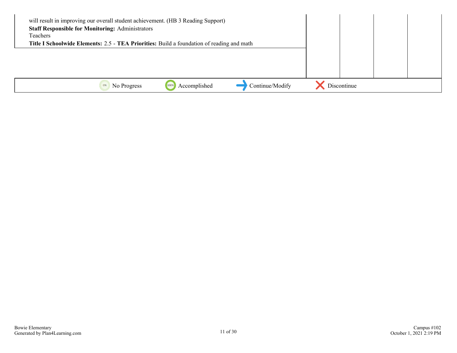| will result in improving our overall student achievement. (HB 3 Reading Support)<br><b>Staff Responsible for Monitoring: Administrators</b><br>Teachers |             |  |
|---------------------------------------------------------------------------------------------------------------------------------------------------------|-------------|--|
| Title I Schoolwide Elements: 2.5 - TEA Priorities: Build a foundation of reading and math                                                               |             |  |
|                                                                                                                                                         |             |  |
|                                                                                                                                                         |             |  |
|                                                                                                                                                         |             |  |
|                                                                                                                                                         |             |  |
| Continue/Modify<br>Accomplished<br>No Progress<br>1009                                                                                                  | Discontinue |  |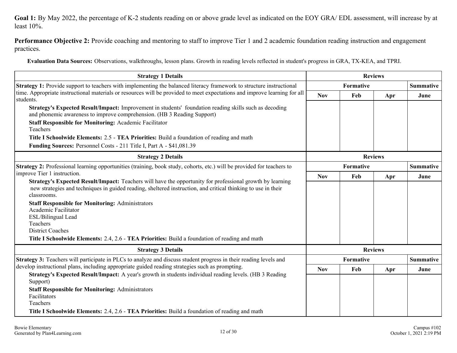**Goal 1:** By May 2022, the percentage of K-2 students reading on or above grade level as indicated on the EOY GRA/ EDL assessment, will increase by at least 10%.

**Performance Objective 2:** Provide coaching and mentoring to staff to improve Tier 1 and 2 academic foundation reading instruction and engagement practices.

**Evaluation Data Sources:** Observations, walkthroughs, lesson plans. Growth in reading levels reflected in student's progress in GRA, TX-KEA, and TPRI.

| <b>Strategy 1 Details</b>                                                                                                                                                                                                                                                                                                    | <b>Reviews</b>   |                  |                |                  |  |
|------------------------------------------------------------------------------------------------------------------------------------------------------------------------------------------------------------------------------------------------------------------------------------------------------------------------------|------------------|------------------|----------------|------------------|--|
| <b>Strategy 1:</b> Provide support to teachers with implementing the balanced literacy framework to structure instructional                                                                                                                                                                                                  |                  | <b>Formative</b> |                | <b>Summative</b> |  |
| time. Appropriate instructional materials or resources will be provided to meet expectations and improve learning for all<br>students.                                                                                                                                                                                       | <b>Nov</b>       | Feb              | Apr            | June             |  |
| <b>Strategy's Expected Result/Impact:</b> Improvement in students' foundation reading skills such as decoding<br>and phonemic awareness to improve comprehension. (HB 3 Reading Support)<br><b>Staff Responsible for Monitoring: Academic Facilitator</b>                                                                    |                  |                  |                |                  |  |
| Teachers                                                                                                                                                                                                                                                                                                                     |                  |                  |                |                  |  |
| Title I Schoolwide Elements: 2.5 - TEA Priorities: Build a foundation of reading and math<br>Funding Sources: Personnel Costs - 211 Title I, Part A - \$41,081.39                                                                                                                                                            |                  |                  |                |                  |  |
| <b>Strategy 2 Details</b>                                                                                                                                                                                                                                                                                                    |                  |                  | <b>Reviews</b> |                  |  |
| Strategy 2: Professional learning opportunities (training, book study, cohorts, etc.) will be provided for teachers to                                                                                                                                                                                                       | <b>Formative</b> |                  |                | <b>Summative</b> |  |
| improve Tier 1 instruction.                                                                                                                                                                                                                                                                                                  | <b>Nov</b>       | Feb              | Apr            | June             |  |
| Strategy's Expected Result/Impact: Teachers will have the opportunity for professional growth by learning<br>new strategies and techniques in guided reading, sheltered instruction, and critical thinking to use in their<br>classrooms.<br><b>Staff Responsible for Monitoring: Administrators</b><br>Academic Facilitator |                  |                  |                |                  |  |
| ESL/Bilingual Lead                                                                                                                                                                                                                                                                                                           |                  |                  |                |                  |  |
| Teachers<br><b>District Coaches</b>                                                                                                                                                                                                                                                                                          |                  |                  |                |                  |  |
| Title I Schoolwide Elements: 2.4, 2.6 - TEA Priorities: Build a foundation of reading and math                                                                                                                                                                                                                               |                  |                  |                |                  |  |
| <b>Strategy 3 Details</b>                                                                                                                                                                                                                                                                                                    |                  |                  | <b>Reviews</b> |                  |  |
| Strategy 3: Teachers will participate in PLCs to analyze and discuss student progress in their reading levels and                                                                                                                                                                                                            |                  | <b>Formative</b> |                | <b>Summative</b> |  |
| develop instructional plans, including appropriate guided reading strategies such as prompting.                                                                                                                                                                                                                              | <b>Nov</b>       | Feb              | Apr            | June             |  |
| Strategy's Expected Result/Impact: A year's growth in students individual reading levels. (HB 3 Reading<br>Support)                                                                                                                                                                                                          |                  |                  |                |                  |  |
| <b>Staff Responsible for Monitoring: Administrators</b><br>Facilitators<br>Teachers                                                                                                                                                                                                                                          |                  |                  |                |                  |  |
| Title I Schoolwide Elements: 2.4, 2.6 - TEA Priorities: Build a foundation of reading and math                                                                                                                                                                                                                               |                  |                  |                |                  |  |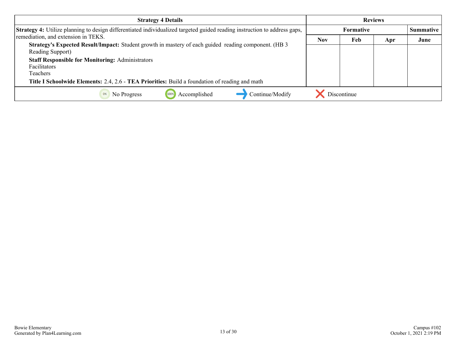| <b>Strategy 4 Details</b>                                                                                                        | <b>Reviews</b> |                                      |     |      |
|----------------------------------------------------------------------------------------------------------------------------------|----------------|--------------------------------------|-----|------|
| <b>Strategy 4:</b> Utilize planning to design differentiated individualized targeted guided reading instruction to address gaps, |                | <b>Formative</b><br><b>Summative</b> |     |      |
| remediation, and extension in TEKS.                                                                                              | <b>Nov</b>     | Feb                                  | Apr | June |
| Strategy's Expected Result/Impact: Student growth in mastery of each guided reading component. (HB 3<br>Reading Support)         |                |                                      |     |      |
| <b>Staff Responsible for Monitoring: Administrators</b>                                                                          |                |                                      |     |      |
| Facilitators                                                                                                                     |                |                                      |     |      |
| Teachers                                                                                                                         |                |                                      |     |      |
| Title I Schoolwide Elements: 2.4, 2.6 - TEA Priorities: Build a foundation of reading and math                                   |                |                                      |     |      |
| Continue/Modify<br>Accomplished<br>No Progress                                                                                   |                | Discontinue                          |     |      |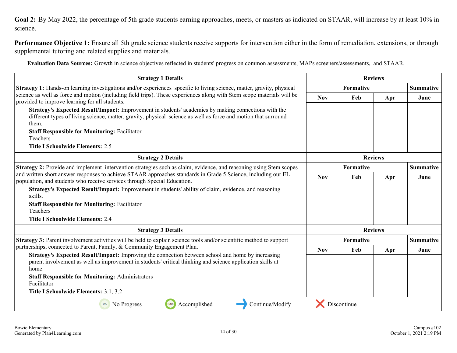<span id="page-13-0"></span>Goal 2: By May 2022, the percentage of 5th grade students earning approaches, meets, or masters as indicated on STAAR, will increase by at least 10% in science.

**Performance Objective 1:** Ensure all 5th grade science students receive supports for intervention either in the form of remediation, extensions, or through supplemental tutoring and related supplies and materials.

**Evaluation Data Sources:** Growth in science objectives reflected in students' progress on common assessments, MAPs screeners/assessments, and STAAR.

| <b>Strategy 1 Details</b>                                                                                                                                                                                                                                                               |                  | <b>Reviews</b>                       |                |                  |
|-----------------------------------------------------------------------------------------------------------------------------------------------------------------------------------------------------------------------------------------------------------------------------------------|------------------|--------------------------------------|----------------|------------------|
| Strategy 1: Hands-on learning investigations and/or experiences specific to living science, matter, gravity, physical                                                                                                                                                                   |                  | <b>Formative</b>                     |                | <b>Summative</b> |
| science as well as force and motion (including field trips). These experiences along with Stem scope materials will be<br>provided to improve learning for all students.                                                                                                                | <b>Nov</b>       | Feb                                  | Apr            | June             |
| Strategy's Expected Result/Impact: Improvement in students' academics by making connections with the<br>different types of living science, matter, gravity, physical science as well as force and motion that surround<br>them.<br><b>Staff Responsible for Monitoring: Facilitator</b> |                  |                                      |                |                  |
| Teachers                                                                                                                                                                                                                                                                                |                  |                                      |                |                  |
| <b>Title I Schoolwide Elements: 2.5</b>                                                                                                                                                                                                                                                 |                  |                                      |                |                  |
| <b>Strategy 2 Details</b>                                                                                                                                                                                                                                                               |                  |                                      | <b>Reviews</b> |                  |
| Strategy 2: Provide and implement intervention strategies such as claim, evidence, and reasoning using Stem scopes                                                                                                                                                                      |                  | <b>Formative</b><br><b>Summative</b> |                |                  |
| and written short answer responses to achieve STAAR approaches standards in Grade 5 Science, including our EL<br>population, and students who receive services through Special Education.                                                                                               | <b>Nov</b>       | Feb                                  | Apr            | June             |
| Strategy's Expected Result/Impact: Improvement in students' ability of claim, evidence, and reasoning<br>skills.<br><b>Staff Responsible for Monitoring: Facilitator</b><br>Teachers                                                                                                    |                  |                                      |                |                  |
| <b>Title I Schoolwide Elements: 2.4</b>                                                                                                                                                                                                                                                 |                  |                                      |                |                  |
| <b>Strategy 3 Details</b>                                                                                                                                                                                                                                                               |                  |                                      | <b>Reviews</b> |                  |
| Strategy 3: Parent involvement activities will be held to explain science tools and/or scientific method to support                                                                                                                                                                     | <b>Formative</b> |                                      |                | <b>Summative</b> |
| partnerships, connected to Parent, Family, & Community Engagement Plan.                                                                                                                                                                                                                 | <b>Nov</b>       | Feb                                  | Apr            | June             |
| Strategy's Expected Result/Impact: Improving the connection between school and home by increasing<br>parent involvement as well as improvement in students' critical thinking and science application skills at<br>home.                                                                |                  |                                      |                |                  |
| <b>Staff Responsible for Monitoring: Administrators</b><br>Facilitator                                                                                                                                                                                                                  |                  |                                      |                |                  |
| Title I Schoolwide Elements: 3.1, 3.2                                                                                                                                                                                                                                                   |                  |                                      |                |                  |
| 100%<br>No Progress<br>Accomplished<br>Continue/Modify<br>0%                                                                                                                                                                                                                            |                  | Discontinue                          |                |                  |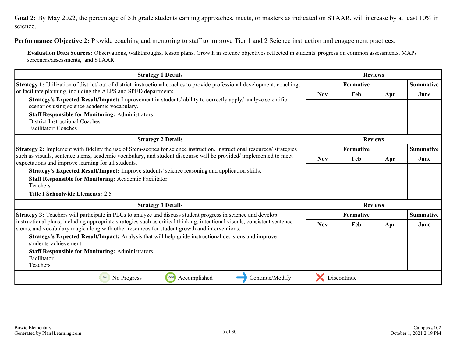Goal 2: By May 2022, the percentage of 5th grade students earning approaches, meets, or masters as indicated on STAAR, will increase by at least 10% in science.

**Performance Objective 2:** Provide coaching and mentoring to staff to improve Tier 1 and 2 Science instruction and engagement practices.

**Evaluation Data Sources:** Observations, walkthroughs, lesson plans. Growth in science objectives reflected in students' progress on common assessments, MAPs screeners/assessments, and STAAR.

| <b>Strategy 1 Details</b>                                                                                                                                                                                                 |            | <b>Reviews</b>   |                |                  |
|---------------------------------------------------------------------------------------------------------------------------------------------------------------------------------------------------------------------------|------------|------------------|----------------|------------------|
| <b>Strategy 1:</b> Utilization of district/ out of district instructional coaches to provide professional development, coaching,                                                                                          |            | <b>Formative</b> |                | <b>Summative</b> |
| or facilitate planning, including the ALPS and SPED departments.                                                                                                                                                          | <b>Nov</b> | Feb              | Apr            | June             |
| Strategy's Expected Result/Impact: Improvement in students' ability to correctly apply/ analyze scientific<br>scenarios using science academic vocabulary.                                                                |            |                  |                |                  |
| <b>Staff Responsible for Monitoring: Administrators</b>                                                                                                                                                                   |            |                  |                |                  |
| <b>District Instructional Coaches</b><br>Facilitator/Coaches                                                                                                                                                              |            |                  |                |                  |
| <b>Strategy 2 Details</b>                                                                                                                                                                                                 |            |                  | <b>Reviews</b> |                  |
| Strategy 2: Implement with fidelity the use of Stem-scopes for science instruction. Instructional resources/ strategies                                                                                                   |            | Formative        |                |                  |
| such as visuals, sentence stems, academic vocabulary, and student discourse will be provided/implemented to meet<br>expectations and improve learning for all students.                                                   |            | Feb              | Apr            | June             |
| Strategy's Expected Result/Impact: Improve students' science reasoning and application skills.                                                                                                                            |            |                  |                |                  |
| <b>Staff Responsible for Monitoring: Academic Facilitator</b>                                                                                                                                                             |            |                  |                |                  |
| Teachers                                                                                                                                                                                                                  |            |                  |                |                  |
| <b>Title I Schoolwide Elements: 2.5</b>                                                                                                                                                                                   |            |                  |                |                  |
| <b>Strategy 3 Details</b>                                                                                                                                                                                                 |            |                  | <b>Reviews</b> |                  |
| <b>Strategy 3:</b> Teachers will participate in PLCs to analyze and discuss student progress in science and develop                                                                                                       | Formative  |                  |                | <b>Summative</b> |
| instructional plans, including appropriate strategies such as critical thinking, intentional visuals, consistent sentence<br>stems, and vocabulary magic along with other resources for student growth and interventions. | <b>Nov</b> | Feb              | Apr            | June             |
| Strategy's Expected Result/Impact: Analysis that will help guide instructional decisions and improve<br>students' achievement.                                                                                            |            |                  |                |                  |
| <b>Staff Responsible for Monitoring: Administrators</b>                                                                                                                                                                   |            |                  |                |                  |
| Facilitator                                                                                                                                                                                                               |            |                  |                |                  |
| Teachers                                                                                                                                                                                                                  |            |                  |                |                  |
| Accomplished<br>Continue/Modify<br>100%<br>0%<br>No Progress                                                                                                                                                              |            | Discontinue      |                |                  |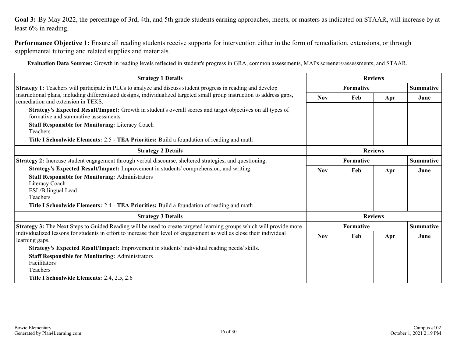<span id="page-15-0"></span>**Goal 3:** By May 2022, the percentage of 3rd, 4th, and 5th grade students earning approaches, meets, or masters as indicated on STAAR, will increase by at least 6% in reading.

**Performance Objective 1:** Ensure all reading students receive supports for intervention either in the form of remediation, extensions, or through supplemental tutoring and related supplies and materials.

**Evaluation Data Sources:** Growth in reading levels reflected in student's progress in GRA, common assessments, MAPs screeners/assessments, and STAAR.

| <b>Strategy 1 Details</b>                                                                                                                                     | <b>Reviews</b>    |           |                |                  |
|---------------------------------------------------------------------------------------------------------------------------------------------------------------|-------------------|-----------|----------------|------------------|
| <b>Strategy 1:</b> Teachers will participate in PLCs to analyze and discuss student progress in reading and develop                                           |                   | Formative |                | <b>Summative</b> |
| instructional plans, including differentiated designs, individualized targeted small group instruction to address gaps,<br>remediation and extension in TEKS. | <b>Nov</b>        | Feb       | Apr            | June             |
| Strategy's Expected Result/Impact: Growth in student's overall scores and target objectives on all types of<br>formative and summative assessments.           |                   |           |                |                  |
| <b>Staff Responsible for Monitoring: Literacy Coach</b>                                                                                                       |                   |           |                |                  |
| Teachers                                                                                                                                                      |                   |           |                |                  |
| Title I Schoolwide Elements: 2.5 - TEA Priorities: Build a foundation of reading and math                                                                     |                   |           |                |                  |
| <b>Strategy 2 Details</b>                                                                                                                                     | <b>Reviews</b>    |           |                |                  |
| Strategy 2: Increase student engagement through verbal discourse, sheltered strategies, and questioning.                                                      | Formative         |           |                | <b>Summative</b> |
| Strategy's Expected Result/Impact: Improvement in students' comprehension, and writing.                                                                       | <b>Nov</b><br>Feb |           | Apr            | June             |
| <b>Staff Responsible for Monitoring: Administrators</b>                                                                                                       |                   |           |                |                  |
| Literacy Coach                                                                                                                                                |                   |           |                |                  |
| ESL/Bilingual Lead                                                                                                                                            |                   |           |                |                  |
| Teachers                                                                                                                                                      |                   |           |                |                  |
| Title I Schoolwide Elements: 2.4 - TEA Priorities: Build a foundation of reading and math                                                                     |                   |           |                |                  |
| <b>Strategy 3 Details</b>                                                                                                                                     |                   |           | <b>Reviews</b> |                  |
| Strategy 3: The Next Steps to Guided Reading will be used to create targeted learning groups which will provide more                                          |                   | Formative |                | <b>Summative</b> |
| individualized lessons for students in effort to increase their level of engagement as well as close their individual                                         | <b>Nov</b>        | Feb       | Apr            | June             |
| learning gaps.                                                                                                                                                |                   |           |                |                  |
| Strategy's Expected Result/Impact: Improvement in students' individual reading needs/ skills.                                                                 |                   |           |                |                  |
| <b>Staff Responsible for Monitoring: Administrators</b>                                                                                                       |                   |           |                |                  |
| Facilitators                                                                                                                                                  |                   |           |                |                  |
| Teachers                                                                                                                                                      |                   |           |                |                  |
| Title I Schoolwide Elements: 2.4, 2.5, 2.6                                                                                                                    |                   |           |                |                  |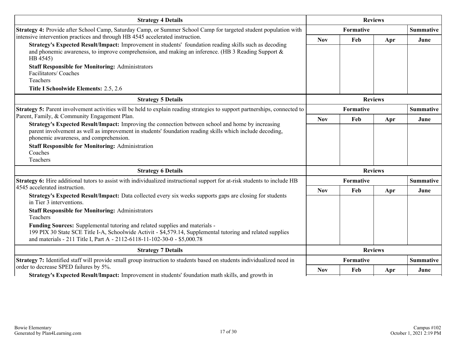| <b>Strategy 4 Details</b>                                                                                                                                                                                                                                                                                    | <b>Reviews</b>   |                  |                |                  |
|--------------------------------------------------------------------------------------------------------------------------------------------------------------------------------------------------------------------------------------------------------------------------------------------------------------|------------------|------------------|----------------|------------------|
| Strategy 4: Provide after School Camp, Saturday Camp, or Summer School Camp for targeted student population with                                                                                                                                                                                             |                  | Formative        |                | <b>Summative</b> |
| intensive intervention practices and through HB 4545 accelerated instruction.<br>Strategy's Expected Result/Impact: Improvement in students' foundation reading skills such as decoding<br>and phonemic awareness, to improve comprehension, and making an inference. (HB 3 Reading Support $\&$<br>HB 4545) | <b>Nov</b>       | Feb              | Apr            | June             |
| <b>Staff Responsible for Monitoring: Administrators</b><br>Facilitators/Coaches<br>Teachers                                                                                                                                                                                                                  |                  |                  |                |                  |
| Title I Schoolwide Elements: 2.5, 2.6                                                                                                                                                                                                                                                                        |                  |                  |                |                  |
| <b>Strategy 5 Details</b>                                                                                                                                                                                                                                                                                    |                  |                  | <b>Reviews</b> |                  |
| Strategy 5: Parent involvement activities will be held to explain reading strategies to support partnerships, connected to                                                                                                                                                                                   | <b>Formative</b> |                  |                | <b>Summative</b> |
| Parent, Family, & Community Engagement Plan.                                                                                                                                                                                                                                                                 | <b>Nov</b>       | Feb              | Apr            | June             |
| Strategy's Expected Result/Impact: Improving the connection between school and home by increasing<br>parent involvement as well as improvement in students' foundation reading skills which include decoding,<br>phonemic awareness, and comprehension.                                                      |                  |                  |                |                  |
| <b>Staff Responsible for Monitoring: Administration</b>                                                                                                                                                                                                                                                      |                  |                  |                |                  |
| Coaches<br>Teachers                                                                                                                                                                                                                                                                                          |                  |                  |                |                  |
| <b>Strategy 6 Details</b>                                                                                                                                                                                                                                                                                    |                  |                  | <b>Reviews</b> |                  |
| <b>Strategy 6:</b> Hire additional tutors to assist with individualized instructional support for at-risk students to include HB                                                                                                                                                                             | <b>Formative</b> |                  |                | <b>Summative</b> |
| 4545 accelerated instruction.<br>Strategy's Expected Result/Impact: Data collected every six weeks supports gaps are closing for students<br>in Tier 3 interventions.                                                                                                                                        | <b>Nov</b>       | Feb              | Apr            | June             |
| <b>Staff Responsible for Monitoring: Administrators</b><br>Teachers                                                                                                                                                                                                                                          |                  |                  |                |                  |
| Funding Sources: Supplemental tutoring and related supplies and materials -<br>199 PIX 30 State SCE Title I-A, Schoolwide Activit - \$4,579.14, Supplemental tutoring and related supplies<br>and materials - 211 Title I, Part A - 2112-6118-11-102-30-0 - \$5,000.78                                       |                  |                  |                |                  |
| <b>Strategy 7 Details</b>                                                                                                                                                                                                                                                                                    |                  |                  | <b>Reviews</b> |                  |
| Strategy 7: Identified staff will provide small group instruction to students based on students individualized need in<br>order to decrease SPED failures by 5%.                                                                                                                                             |                  | <b>Formative</b> |                | <b>Summative</b> |
| Strategy's Expected Result/Impact: Improvement in students' foundation math skills, and growth in                                                                                                                                                                                                            | <b>Nov</b>       | Feb              | Apr            | June             |

**Strategy's Expected Result/Impact:** Improvement in students' foundation math skills, and growth in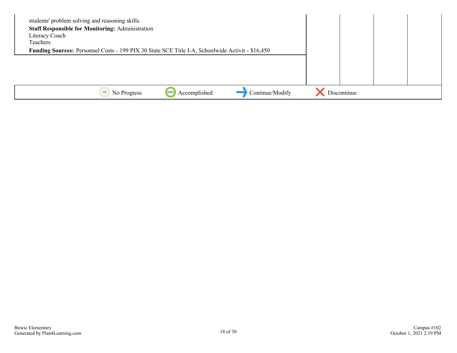| students' problem solving and reasoning skills.<br><b>Staff Responsible for Monitoring: Administration</b><br>Literacy Coach<br>Teachers<br>Funding Sources: Personnel Costs - 199 PIX 30 State SCE Title I-A, Schoolwide Activit - \$16,450 |                      |                 |             |  |
|----------------------------------------------------------------------------------------------------------------------------------------------------------------------------------------------------------------------------------------------|----------------------|-----------------|-------------|--|
| No Progress<br>0%                                                                                                                                                                                                                            | Accomplished<br>100% | Continue/Modify | Discontinue |  |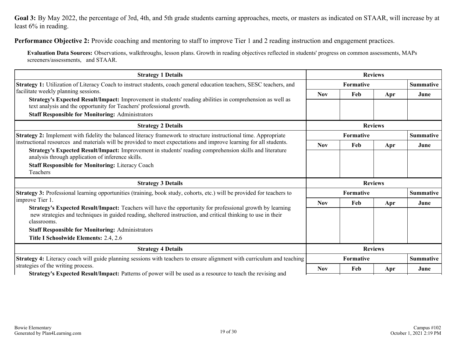**Goal 3:** By May 2022, the percentage of 3rd, 4th, and 5th grade students earning approaches, meets, or masters as indicated on STAAR, will increase by at least 6% in reading.

**Performance Objective 2:** Provide coaching and mentoring to staff to improve Tier 1 and 2 reading instruction and engagement practices.

**Evaluation Data Sources:** Observations, walkthroughs, lesson plans. Growth in reading objectives reflected in students' progress on common assessments, MAPs screeners/assessments, and STAAR.

| <b>Strategy 1 Details</b>                                                                                                                                                                                                     | <b>Reviews</b> |           |                |                  |
|-------------------------------------------------------------------------------------------------------------------------------------------------------------------------------------------------------------------------------|----------------|-----------|----------------|------------------|
| <b>Strategy 1:</b> Utilization of Literacy Coach to instruct students, coach general education teachers, SESC teachers, and                                                                                                   |                | Formative |                | <b>Summative</b> |
| facilitate weekly planning sessions.                                                                                                                                                                                          | <b>Nov</b>     | Feb       | Apr            | June             |
| Strategy's Expected Result/Impact: Improvement in students' reading abilities in comprehension as well as<br>text analysis and the opportunity for Teachers' professional growth.                                             |                |           |                |                  |
| <b>Staff Responsible for Monitoring: Administrators</b>                                                                                                                                                                       |                |           |                |                  |
| <b>Strategy 2 Details</b>                                                                                                                                                                                                     |                |           | <b>Reviews</b> |                  |
| Strategy 2: Implement with fidelity the balanced literacy framework to structure instructional time. Appropriate                                                                                                              | Formative      |           |                | <b>Summative</b> |
| instructional resources and materials will be provided to meet expectations and improve learning for all students.<br>Strategy's Expected Result/Impact: Improvement in students' reading comprehension skills and literature | <b>Nov</b>     | Feb       | Apr            | June             |
| analysis through application of inference skills.                                                                                                                                                                             |                |           |                |                  |
| <b>Staff Responsible for Monitoring: Literacy Coach</b>                                                                                                                                                                       |                |           |                |                  |
| Teachers                                                                                                                                                                                                                      |                |           |                |                  |
| <b>Strategy 3 Details</b>                                                                                                                                                                                                     |                |           | <b>Reviews</b> |                  |
| Strategy 3: Professional learning opportunities (training, book study, cohorts, etc.) will be provided for teachers to                                                                                                        | Formative      |           |                | <b>Summative</b> |
| improve Tier 1.                                                                                                                                                                                                               | <b>Nov</b>     | Feb       | Apr            | June             |
| Strategy's Expected Result/Impact: Teachers will have the opportunity for professional growth by learning<br>new strategies and techniques in guided reading, sheltered instruction, and critical thinking to use in their    |                |           |                |                  |
| classrooms.                                                                                                                                                                                                                   |                |           |                |                  |
| <b>Staff Responsible for Monitoring: Administrators</b>                                                                                                                                                                       |                |           |                |                  |
| Title I Schoolwide Elements: 2.4, 2.6                                                                                                                                                                                         |                |           |                |                  |
| <b>Strategy 4 Details</b>                                                                                                                                                                                                     |                |           | <b>Reviews</b> |                  |
| Strategy 4: Literacy coach will guide planning sessions with teachers to ensure alignment with curriculum and teaching                                                                                                        |                | Formative |                | <b>Summative</b> |
| strategies of the writing process.                                                                                                                                                                                            | <b>Nov</b>     | Feb       | Apr            | June             |
| Strategy's Expected Result/Impact: Patterns of power will be used as a resource to teach the revising and                                                                                                                     |                |           |                |                  |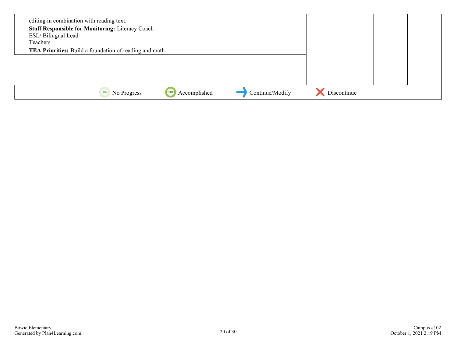| editing in combination with reading text.<br><b>Staff Responsible for Monitoring: Literacy Coach</b><br>ESL/Bilingual Lead<br>Teachers<br><b>TEA Priorities:</b> Build a foundation of reading and math |                      |                 |             |  |
|---------------------------------------------------------------------------------------------------------------------------------------------------------------------------------------------------------|----------------------|-----------------|-------------|--|
|                                                                                                                                                                                                         |                      |                 |             |  |
| No Progress<br>0%                                                                                                                                                                                       | Accomplished<br>1009 | Continue/Modify | Discontinue |  |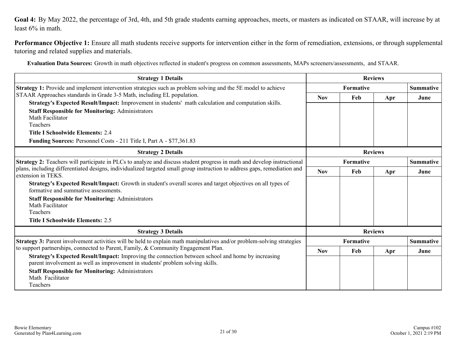<span id="page-20-0"></span>**Goal 4:** By May 2022, the percentage of 3rd, 4th, and 5th grade students earning approaches, meets, or masters as indicated on STAAR, will increase by at least 6% in math.

**Performance Objective 1:** Ensure all math students receive supports for intervention either in the form of remediation, extensions, or through supplemental tutoring and related supplies and materials.

**Evaluation Data Sources:** Growth in math objectives reflected in student's progress on common assessments, MAPs screeners/assessments, and STAAR.

| <b>Strategy 1 Details</b>                                                                                                                                                                                                                                                                                                                                                                                  | <b>Reviews</b>   |                               |                |                  |
|------------------------------------------------------------------------------------------------------------------------------------------------------------------------------------------------------------------------------------------------------------------------------------------------------------------------------------------------------------------------------------------------------------|------------------|-------------------------------|----------------|------------------|
| Strategy 1: Provide and implement intervention strategies such as problem solving and the 5E model to achieve                                                                                                                                                                                                                                                                                              | <b>Formative</b> |                               |                | <b>Summative</b> |
| STAAR Approaches standards in Grade 3-5 Math, including EL population.                                                                                                                                                                                                                                                                                                                                     | <b>Nov</b>       | Feb                           | Apr            | June             |
| Strategy's Expected Result/Impact: Improvement in students' math calculation and computation skills.                                                                                                                                                                                                                                                                                                       |                  |                               |                |                  |
| <b>Staff Responsible for Monitoring: Administrators</b>                                                                                                                                                                                                                                                                                                                                                    |                  |                               |                |                  |
| Math Facilitator<br>Teachers                                                                                                                                                                                                                                                                                                                                                                               |                  |                               |                |                  |
| <b>Title I Schoolwide Elements: 2.4</b>                                                                                                                                                                                                                                                                                                                                                                    |                  |                               |                |                  |
| Funding Sources: Personnel Costs - 211 Title I, Part A - \$77,361.83                                                                                                                                                                                                                                                                                                                                       |                  |                               |                |                  |
|                                                                                                                                                                                                                                                                                                                                                                                                            |                  |                               |                |                  |
| <b>Strategy 2 Details</b>                                                                                                                                                                                                                                                                                                                                                                                  |                  |                               | <b>Reviews</b> |                  |
| Strategy 2: Teachers will participate in PLCs to analyze and discuss student progress in math and develop instructional                                                                                                                                                                                                                                                                                    | <b>Formative</b> |                               |                | <b>Summative</b> |
| plans, including differentiated designs, individualized targeted small group instruction to address gaps, remediation and<br>extension in TEKS.                                                                                                                                                                                                                                                            |                  | Feb                           | Apr            | June             |
| Strategy's Expected Result/Impact: Growth in student's overall scores and target objectives on all types of<br>formative and summative assessments.                                                                                                                                                                                                                                                        |                  |                               |                |                  |
| <b>Staff Responsible for Monitoring: Administrators</b>                                                                                                                                                                                                                                                                                                                                                    |                  |                               |                |                  |
| Math Facilitator                                                                                                                                                                                                                                                                                                                                                                                           |                  |                               |                |                  |
| Teachers                                                                                                                                                                                                                                                                                                                                                                                                   |                  |                               |                |                  |
| <b>Title I Schoolwide Elements: 2.5</b>                                                                                                                                                                                                                                                                                                                                                                    |                  |                               |                |                  |
| <b>Strategy 3 Details</b>                                                                                                                                                                                                                                                                                                                                                                                  | <b>Reviews</b>   |                               |                |                  |
| <b>Strategy 3:</b> Parent involvement activities will be held to explain math manipulatives and/or problem-solving strategies<br>to support partnerships, connected to Parent, Family, & Community Engagement Plan.<br>Strategy's Expected Result/Impact: Improving the connection between school and home by increasing<br>parent involvement as well as improvement in students' problem solving skills. |                  | Formative<br><b>Summative</b> |                |                  |
|                                                                                                                                                                                                                                                                                                                                                                                                            |                  | Feb                           | Apr            | June             |
|                                                                                                                                                                                                                                                                                                                                                                                                            |                  |                               |                |                  |
| <b>Staff Responsible for Monitoring: Administrators</b>                                                                                                                                                                                                                                                                                                                                                    |                  |                               |                |                  |
| Math Facilitator                                                                                                                                                                                                                                                                                                                                                                                           |                  |                               |                |                  |
| Teachers                                                                                                                                                                                                                                                                                                                                                                                                   |                  |                               |                |                  |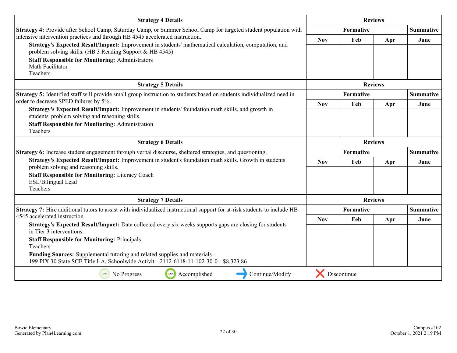| <b>Reviews</b><br><b>Strategy 4 Details</b>                                                                                                                                             |                |                               |                  |                  |
|-----------------------------------------------------------------------------------------------------------------------------------------------------------------------------------------|----------------|-------------------------------|------------------|------------------|
| Strategy 4: Provide after School Camp, Saturday Camp, or Summer School Camp for targeted student population with                                                                        | Formative      |                               |                  | <b>Summative</b> |
| intensive intervention practices and through HB 4545 accelerated instruction.<br>Strategy's Expected Result/Impact: Improvement in students' mathematical calculation, computation, and | <b>Nov</b>     | Feb                           | Apr              | June             |
| problem solving skills. (HB 3 Reading Support & HB 4545)                                                                                                                                |                |                               |                  |                  |
| <b>Staff Responsible for Monitoring: Administrators</b>                                                                                                                                 |                |                               |                  |                  |
| Math Facilitator<br>Teachers                                                                                                                                                            |                |                               |                  |                  |
| <b>Strategy 5 Details</b>                                                                                                                                                               |                |                               | <b>Reviews</b>   |                  |
| Strategy 5: Identified staff will provide small group instruction to students based on students individualized need in                                                                  |                | Formative                     |                  | <b>Summative</b> |
| order to decrease SPED failures by 5%.                                                                                                                                                  | <b>Nov</b>     | Feb                           | Apr              | June             |
| Strategy's Expected Result/Impact: Improvement in students' foundation math skills, and growth in<br>students' problem solving and reasoning skills.                                    |                |                               |                  |                  |
| <b>Staff Responsible for Monitoring: Administration</b>                                                                                                                                 |                |                               |                  |                  |
| Teachers                                                                                                                                                                                |                |                               |                  |                  |
| <b>Strategy 6 Details</b>                                                                                                                                                               |                | <b>Reviews</b>                |                  |                  |
| Strategy 6: Increase student engagement through verbal discourse, sheltered strategies, and questioning.                                                                                |                | Formative                     | <b>Summative</b> |                  |
| Strategy's Expected Result/Impact: Improvement in student's foundation math skills. Growth in students<br>problem solving and reasoning skills.                                         | <b>Nov</b>     | Feb                           | Apr              | June             |
| <b>Staff Responsible for Monitoring: Literacy Coach</b>                                                                                                                                 |                |                               |                  |                  |
| ESL/Bilingual Lead<br>Teachers                                                                                                                                                          |                |                               |                  |                  |
| <b>Strategy 7 Details</b>                                                                                                                                                               | <b>Reviews</b> |                               |                  |                  |
| Strategy 7: Hire additional tutors to assist with individualized instructional support for at-risk students to include HB                                                               |                | <b>Summative</b><br>Formative |                  |                  |
| 4545 accelerated instruction.                                                                                                                                                           | <b>Nov</b>     | Feb                           | Apr              | June             |
| Strategy's Expected Result/Impact: Data collected every six weeks supports gaps are closing for students<br>in Tier 3 interventions.                                                    |                |                               |                  |                  |
| <b>Staff Responsible for Monitoring: Principals</b><br>Teachers                                                                                                                         |                |                               |                  |                  |
| Funding Sources: Supplemental tutoring and related supplies and materials -<br>199 PIX 30 State SCE Title I-A, Schoolwide Activit - 2112-6118-11-102-30-0 - \$8,323.86                  |                |                               |                  |                  |
| 100%<br>Continue/Modify<br>0%<br>Accomplished<br>No Progress                                                                                                                            |                | Discontinue                   |                  |                  |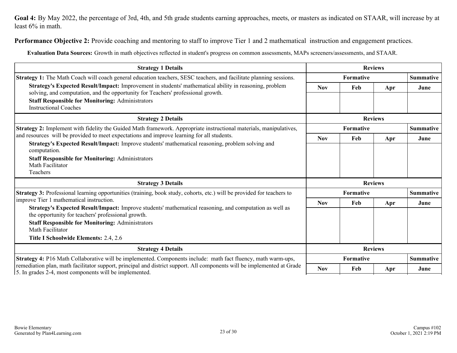**Goal 4:** By May 2022, the percentage of 3rd, 4th, and 5th grade students earning approaches, meets, or masters as indicated on STAAR, will increase by at least 6% in math.

**Performance Objective 2:** Provide coaching and mentoring to staff to improve Tier 1 and 2 mathematical instruction and engagement practices.

**Evaluation Data Sources:** Growth in math objectives reflected in student's progress on common assessments, MAPs screeners/assessments, and STAAR.

| <b>Strategy 1 Details</b>                                                                                                                                                                                                                                                                                                                                                                                                                                   |                |                | <b>Reviews</b> |                  |  |  |
|-------------------------------------------------------------------------------------------------------------------------------------------------------------------------------------------------------------------------------------------------------------------------------------------------------------------------------------------------------------------------------------------------------------------------------------------------------------|----------------|----------------|----------------|------------------|--|--|
| Strategy 1: The Math Coach will coach general education teachers, SESC teachers, and facilitate planning sessions.                                                                                                                                                                                                                                                                                                                                          | Formative      |                |                | <b>Summative</b> |  |  |
| Strategy's Expected Result/Impact: Improvement in students' mathematical ability in reasoning, problem<br>solving, and computation, and the opportunity for Teachers' professional growth.<br><b>Staff Responsible for Monitoring: Administrators</b>                                                                                                                                                                                                       | <b>Nov</b>     | Feb            | Apr            | June             |  |  |
| <b>Instructional Coaches</b>                                                                                                                                                                                                                                                                                                                                                                                                                                |                |                |                |                  |  |  |
| <b>Strategy 2 Details</b>                                                                                                                                                                                                                                                                                                                                                                                                                                   |                | <b>Reviews</b> |                |                  |  |  |
| Strategy 2: Implement with fidelity the Guided Math framework. Appropriate instructional materials, manipulatives,                                                                                                                                                                                                                                                                                                                                          | Formative      |                |                | <b>Summative</b> |  |  |
| and resources will be provided to meet expectations and improve learning for all students.                                                                                                                                                                                                                                                                                                                                                                  | <b>Nov</b>     | Feb            | Apr            | June             |  |  |
| Strategy's Expected Result/Impact: Improve students' mathematical reasoning, problem solving and<br>computation.<br><b>Staff Responsible for Monitoring: Administrators</b><br>Math Facilitator<br>Teachers                                                                                                                                                                                                                                                 |                |                |                |                  |  |  |
| <b>Strategy 3 Details</b>                                                                                                                                                                                                                                                                                                                                                                                                                                   |                |                | <b>Reviews</b> |                  |  |  |
| Strategy 3: Professional learning opportunities (training, book study, cohorts, etc.) will be provided for teachers to<br>improve Tier 1 mathematical instruction.<br>Strategy's Expected Result/Impact: Improve students' mathematical reasoning, and computation as well as<br>the opportunity for teachers' professional growth.<br><b>Staff Responsible for Monitoring: Administrators</b><br>Math Facilitator<br>Title I Schoolwide Elements: 2.4, 2.6 |                | Formative      |                | <b>Summative</b> |  |  |
|                                                                                                                                                                                                                                                                                                                                                                                                                                                             |                | Feb            | Apr            | June             |  |  |
| <b>Strategy 4 Details</b>                                                                                                                                                                                                                                                                                                                                                                                                                                   | <b>Reviews</b> |                |                |                  |  |  |
| Strategy 4: P16 Math Collaborative will be implemented. Components include: math fact fluency, math warm-ups,                                                                                                                                                                                                                                                                                                                                               |                | Formative      |                | <b>Summative</b> |  |  |
| remediation plan, math facilitator support, principal and district support. All components will be implemented at Grade<br>5. In grades 2-4, most components will be implemented.                                                                                                                                                                                                                                                                           | <b>Nov</b>     | Feb            | Apr            | June             |  |  |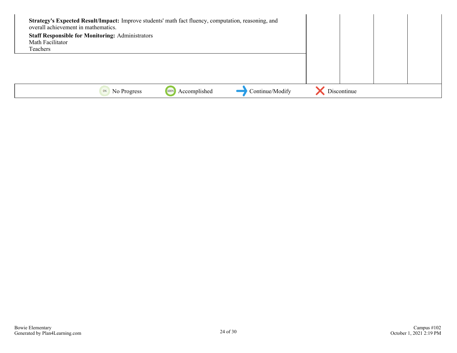| Strategy's Expected Result/Impact: Improve students' math fact fluency, computation, reasoning, and<br>overall achievement in mathematics.<br><b>Staff Responsible for Monitoring: Administrators</b><br>Math Facilitator<br>Teachers |                      |                 |             |  |
|---------------------------------------------------------------------------------------------------------------------------------------------------------------------------------------------------------------------------------------|----------------------|-----------------|-------------|--|
|                                                                                                                                                                                                                                       |                      |                 |             |  |
| No Progress<br>0%                                                                                                                                                                                                                     | Accomplished<br>1009 | Continue/Modify | Discontinue |  |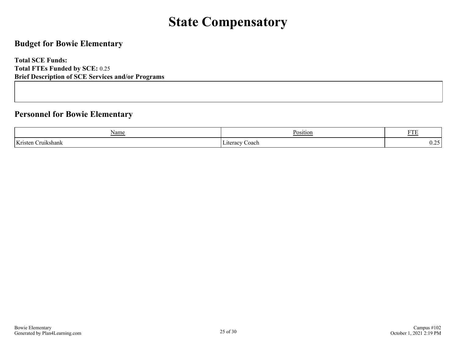## **State Compensatory**

### <span id="page-24-0"></span>**Budget for Bowie Elementary**

**Total SCE Funds: Total FTEs Funded by SCE:** 0.25 **Brief Description of SCE Services and/or Programs**

### **Personnel for Bowie Elementary**

| Name                   | ъ.<br>Position    | <b>THEFT</b><br>. . |
|------------------------|-------------------|---------------------|
| Kristen<br>.)ru1kshank | Coach<br>∟iterac∨ | ∪.∠                 |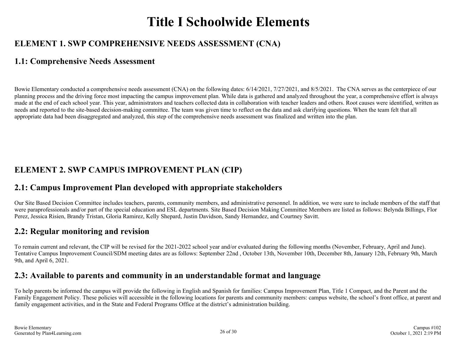## **Title I Schoolwide Elements**

## <span id="page-25-0"></span>**ELEMENT 1. SWP COMPREHENSIVE NEEDS ASSESSMENT (CNA)**

### **1.1: Comprehensive Needs Assessment**

Bowie Elementary conducted a comprehensive needs assessment (CNA) on the following dates: 6/14/2021, 7/27/2021, and 8/5/2021. The CNA serves as the centerpiece of our planning process and the driving force most impacting the campus improvement plan. While data is gathered and analyzed throughout the year, a comprehensive effort is always made at the end of each school year. This year, administrators and teachers collected data in collaboration with teacher leaders and others. Root causes were identified, written as needs and reported to the site-based decision-making committee. The team was given time to reflect on the data and ask clarifying questions. When the team felt that all appropriate data had been disaggregated and analyzed, this step of the comprehensive needs assessment was finalized and written into the plan.

## **ELEMENT 2. SWP CAMPUS IMPROVEMENT PLAN (CIP)**

### **2.1: Campus Improvement Plan developed with appropriate stakeholders**

Our Site Based Decision Committee includes teachers, parents, community members, and administrative personnel. In addition, we were sure to include members of the staff that were paraprofessionals and/or part of the special education and ESL departments. Site Based Decision Making Committee Members are listed as follows: Belynda Billings, Flor Perez, Jessica Risien, Brandy Tristan, Gloria Ramirez, Kelly Shepard, Justin Davidson, Sandy Hernandez, and Courtney Savitt.

### **2.2: Regular monitoring and revision**

To remain current and relevant, the CIP will be revised for the 2021-2022 school year and/or evaluated during the following months (November, February, April and June). Tentative Campus Improvement Council/SDM meeting dates are as follows: September 22nd , October 13th, November 10th, December 8th, January 12th, February 9th, March 9th, and April 6, 2021.

### **2.3: Available to parents and community in an understandable format and language**

To help parents be informed the campus will provide the following in English and Spanish for families: Campus Improvement Plan, Title 1 Compact, and the Parent and the Family Engagement Policy. These policies will accessible in the following locations for parents and community members: campus website, the school's front office, at parent and family engagement activities, and in the State and Federal Programs Office at the district's administration building.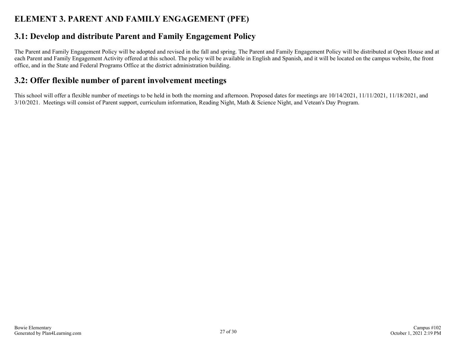### <span id="page-26-0"></span>**ELEMENT 3. PARENT AND FAMILY ENGAGEMENT (PFE)**

### **3.1: Develop and distribute Parent and Family Engagement Policy**

The Parent and Family Engagement Policy will be adopted and revised in the fall and spring. The Parent and Family Engagement Policy will be distributed at Open House and at each Parent and Family Engagement Activity offered at this school. The policy will be available in English and Spanish, and it will be located on the campus website, the front office, and in the State and Federal Programs Office at the district administration building.

### **3.2: Offer flexible number of parent involvement meetings**

This school will offer a flexible number of meetings to be held in both the morning and afternoon. Proposed dates for meetings are 10/14/2021, 11/11/2021, 11/18/2021, and 3/10/2021. Meetings will consist of Parent support, curriculum information, Reading Night, Math & Science Night, and Vetean's Day Program.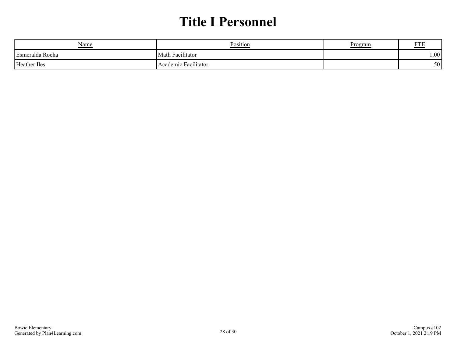## **Title I Personnel**

<span id="page-27-0"></span>

| <u>Name</u>     | Position             | Program | <b>ETI</b><br>' I L |
|-----------------|----------------------|---------|---------------------|
| Esmeralda Rocha | Math Facilitator     |         | $1.00^+$            |
| Heather Iles    | Academic Facilitator |         | .50 <sup>1</sup>    |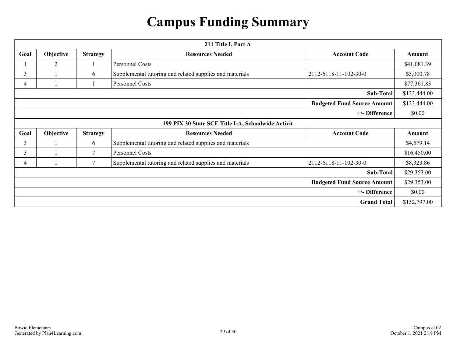## **Campus Funding Summary**

<span id="page-28-0"></span>

|      | 211 Title I, Part A |                 |                                                          |                                    |              |
|------|---------------------|-----------------|----------------------------------------------------------|------------------------------------|--------------|
| Goal | Objective           | <b>Strategy</b> | <b>Resources Needed</b>                                  | <b>Account Code</b>                | Amount       |
|      | 2                   |                 | Personnel Costs                                          |                                    | \$41,081.39  |
| 3    |                     | 6               | Supplemental tutoring and related supplies and materials | 2112-6118-11-102-30-0              | \$5,000.78   |
| 4    |                     |                 | <b>Personnel Costs</b>                                   |                                    | \$77,361.83  |
|      |                     |                 |                                                          | Sub-Total                          | \$123,444.00 |
|      |                     |                 |                                                          | <b>Budgeted Fund Source Amount</b> | \$123,444.00 |
|      |                     |                 |                                                          | +/- Difference                     | \$0.00       |
|      |                     |                 | 199 PIX 30 State SCE Title I-A, Schoolwide Activit       |                                    |              |
| Goal | Objective           | <b>Strategy</b> | <b>Resources Needed</b>                                  | <b>Account Code</b>                | Amount       |
| 3    |                     | 6               | Supplemental tutoring and related supplies and materials |                                    | \$4,579.14   |
| 3    |                     | 7               | Personnel Costs                                          |                                    | \$16,450.00  |
| 4    |                     | $\tau$          | Supplemental tutoring and related supplies and materials | 2112-6118-11-102-30-0              | \$8,323.86   |
|      |                     |                 |                                                          | Sub-Total                          | \$29,353.00  |
|      |                     |                 |                                                          | <b>Budgeted Fund Source Amount</b> | \$29,353.00  |
|      |                     |                 |                                                          | +/- Difference                     | \$0.00       |
|      |                     |                 |                                                          | <b>Grand Total</b>                 | \$152,797.00 |